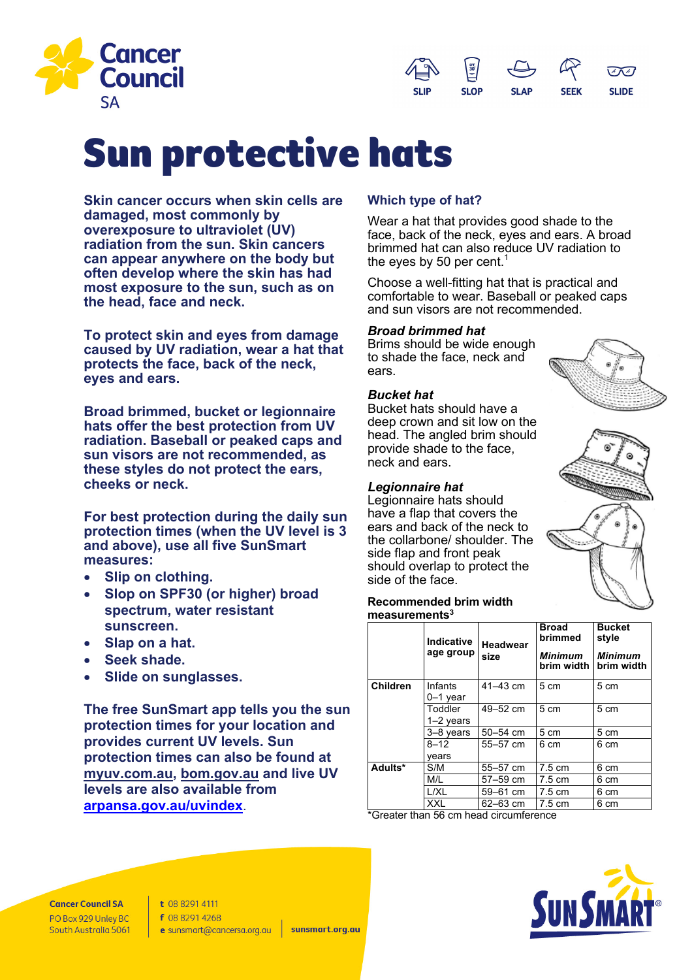



# Sun protective hats

**Skin cancer occurs when skin cells are damaged, most commonly by overexposure to ultraviolet (UV) radiation from the sun. Skin cancers can appear anywhere on the body but often develop where the skin has had most exposure to the sun, such as on the head, face and neck.**

**To protect skin and eyes from damage caused by UV radiation, wear a hat that protects the face, back of the neck, eyes and ears.**

**Broad brimmed, bucket or legionnaire hats offer the best protection from UV radiation. Baseball or peaked caps and sun visors are not recommended, as these styles do not protect the ears, cheeks or neck.** 

**For best protection during the daily sun protection times (when the UV level is 3 and above), use all five SunSmart measures:** 

- **Slip on clothing.**
- **Slop on SPF30 (or higher) broad spectrum, water resistant sunscreen.**
- **Slap on a hat.**
- **Seek shade.**
- **Slide on sunglasses.**

**The free SunSmart app tells you the sun protection times for your location and provides current UV levels. Sun protection times can also be found at myuv.com.au, bom.gov.au and live UV levels are also available from arpansa.gov.au/uvindex**.

## **Which type of hat?**

Wear a hat that provides good shade to the face, back of the neck, eyes and ears. A broad brimmed hat can also reduce UV radiation to the eyes by 50 per cent. $^{\rm 1}$ 

Choose a well-fitting hat that is practical and comfortable to wear. Baseball or peaked caps and sun visors are not recommended.

## *Broad brimmed hat*

Brims should be wide enough to shade the face, neck and ears.

## *Bucket hat*

Bucket hats should have a deep crown and sit low on the head. The angled brim should provide shade to the face, neck and ears.

## *Legionnaire hat*

Legionnaire hats should have a flap that covers the ears and back of the neck to the collarbone/ shoulder. The side flap and front peak should overlap to protect the side of the face.





#### **Recommended brim width measurements3**

|                 | <b>Indicative</b><br>age group | <b>Headwear</b><br>size | <b>Broad</b><br>brimmed<br><b>Minimum</b><br>brim width | <b>Bucket</b><br>style<br><b>Minimum</b><br>brim width |
|-----------------|--------------------------------|-------------------------|---------------------------------------------------------|--------------------------------------------------------|
| <b>Children</b> | Infants<br>$0-1$ year          | $41 - 43$ cm            | 5 cm                                                    | 5 cm                                                   |
|                 | Toddler<br>1–2 years           | 49–52 cm                | 5 cm                                                    | 5 cm                                                   |
|                 | 3-8 years                      | 50-54 cm                | 5 cm                                                    | 5 cm                                                   |
|                 | $8 - 12$<br>vears              | $55 - 57$ cm            | 6 cm                                                    | 6 cm                                                   |
| Adults*         | S/M                            | 55-57 cm                | $7.5 \text{ cm}$                                        | 6 cm                                                   |
|                 | M/L                            | 57-59 cm                | $7.5 \text{ cm}$                                        | 6 cm                                                   |
|                 | L/XL                           | 59-61 cm                | $7.5 \text{ cm}$                                        | 6 cm                                                   |
|                 | XXL                            | $62 - 63$ cm            | $7.5 \text{ cm}$                                        | 6 cm                                                   |

\*Greater than 56 cm head circumference



**Cancer Council SA** PO Box 929 Unley BC South Australia 5061 t 08 8291 4111 f 08 8291 4268 e sunsmart@cancersa.org.au

sunsmart.org.au